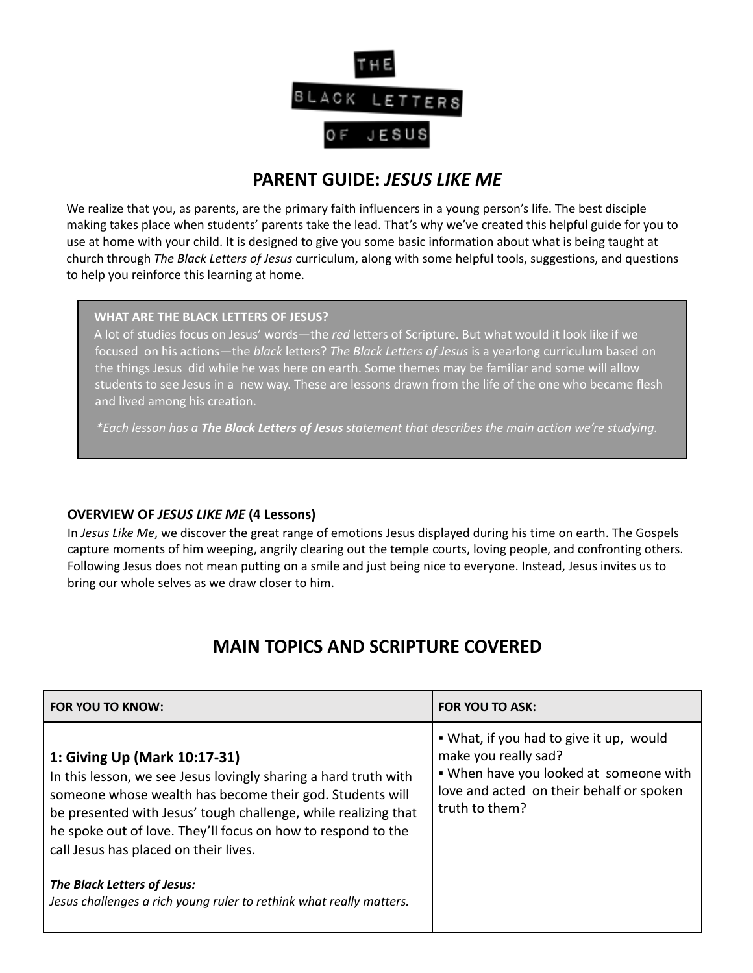

### **PARENT GUIDE:** *JESUS LIKE ME*

We realize that you, as parents, are the primary faith influencers in a young person's life. The best disciple making takes place when students' parents take the lead. That's why we've created this helpful guide for you to use at home with your child. It is designed to give you some basic information about what is being taught at church through *The Black Letters of Jesus* curriculum, along with some helpful tools, suggestions, and questions to help you reinforce this learning at home.

#### **WHAT ARE THE BLACK LETTERS OF JESUS?**

A lot of studies focus on Jesus' words—the *red* letters of Scripture. But what would it look like if we focused on his actions—the *black* letters? *The Black Letters of Jesus* is a yearlong curriculum based on the things Jesus did while he was here on earth. Some themes may be familiar and some will allow students to see Jesus in a new way. These are lessons drawn from the life of the one who became flesh and lived among his creation.

*\*Each lesson has a The Black Letters of Jesus statement that describes the main action we're studying.*

#### **OVERVIEW OF** *JESUS LIKE ME* **(4 Lessons)**

In *Jesus Like Me*, we discover the great range of emotions Jesus displayed during his time on earth. The Gospels capture moments of him weeping, angrily clearing out the temple courts, loving people, and confronting others. Following Jesus does not mean putting on a smile and just being nice to everyone. Instead, Jesus invites us to bring our whole selves as we draw closer to him.

## **MAIN TOPICS AND SCRIPTURE COVERED**

| FOR YOU TO KNOW:                                                                                                                                                                                                                                                                                                                       | <b>FOR YOU TO ASK:</b>                                                                                                                                                  |
|----------------------------------------------------------------------------------------------------------------------------------------------------------------------------------------------------------------------------------------------------------------------------------------------------------------------------------------|-------------------------------------------------------------------------------------------------------------------------------------------------------------------------|
| 1: Giving Up (Mark 10:17-31)<br>In this lesson, we see Jesus lovingly sharing a hard truth with<br>someone whose wealth has become their god. Students will<br>be presented with Jesus' tough challenge, while realizing that<br>he spoke out of love. They'll focus on how to respond to the<br>call Jesus has placed on their lives. | • What, if you had to give it up, would<br>make you really sad?<br>. When have you looked at someone with<br>love and acted on their behalf or spoken<br>truth to them? |
| The Black Letters of Jesus:<br>Jesus challenges a rich young ruler to rethink what really matters.                                                                                                                                                                                                                                     |                                                                                                                                                                         |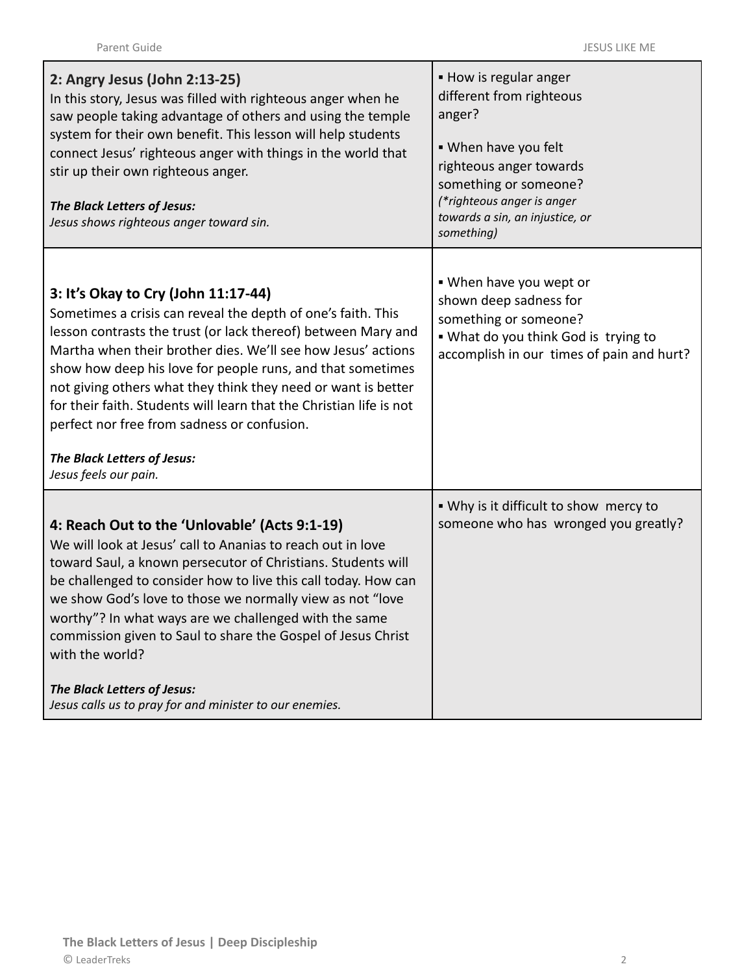| 2: Angry Jesus (John 2:13-25)<br>In this story, Jesus was filled with righteous anger when he<br>saw people taking advantage of others and using the temple<br>system for their own benefit. This lesson will help students<br>connect Jesus' righteous anger with things in the world that<br>stir up their own righteous anger.<br>The Black Letters of Jesus:<br>Jesus shows righteous anger toward sin.                                                                                                                                       | • How is regular anger<br>different from righteous<br>anger?<br>. When have you felt<br>righteous anger towards<br>something or someone?<br>(*righteous anger is anger<br>towards a sin, an injustice, or<br>something) |
|---------------------------------------------------------------------------------------------------------------------------------------------------------------------------------------------------------------------------------------------------------------------------------------------------------------------------------------------------------------------------------------------------------------------------------------------------------------------------------------------------------------------------------------------------|-------------------------------------------------------------------------------------------------------------------------------------------------------------------------------------------------------------------------|
| 3: It's Okay to Cry (John 11:17-44)<br>Sometimes a crisis can reveal the depth of one's faith. This<br>lesson contrasts the trust (or lack thereof) between Mary and<br>Martha when their brother dies. We'll see how Jesus' actions<br>show how deep his love for people runs, and that sometimes<br>not giving others what they think they need or want is better<br>for their faith. Students will learn that the Christian life is not<br>perfect nor free from sadness or confusion.<br>The Black Letters of Jesus:<br>Jesus feels our pain. | . When have you wept or<br>shown deep sadness for<br>something or someone?<br>. What do you think God is trying to<br>accomplish in our times of pain and hurt?                                                         |
|                                                                                                                                                                                                                                                                                                                                                                                                                                                                                                                                                   | . Why is it difficult to show mercy to                                                                                                                                                                                  |
| 4: Reach Out to the 'Unlovable' (Acts 9:1-19)<br>We will look at Jesus' call to Ananias to reach out in love<br>toward Saul, a known persecutor of Christians. Students will<br>be challenged to consider how to live this call today. How can<br>we show God's love to those we normally view as not "love<br>worthy"? In what ways are we challenged with the same<br>commission given to Saul to share the Gospel of Jesus Christ<br>with the world?                                                                                           | someone who has wronged you greatly?                                                                                                                                                                                    |
| The Black Letters of Jesus:<br>Jesus calls us to pray for and minister to our enemies.                                                                                                                                                                                                                                                                                                                                                                                                                                                            |                                                                                                                                                                                                                         |